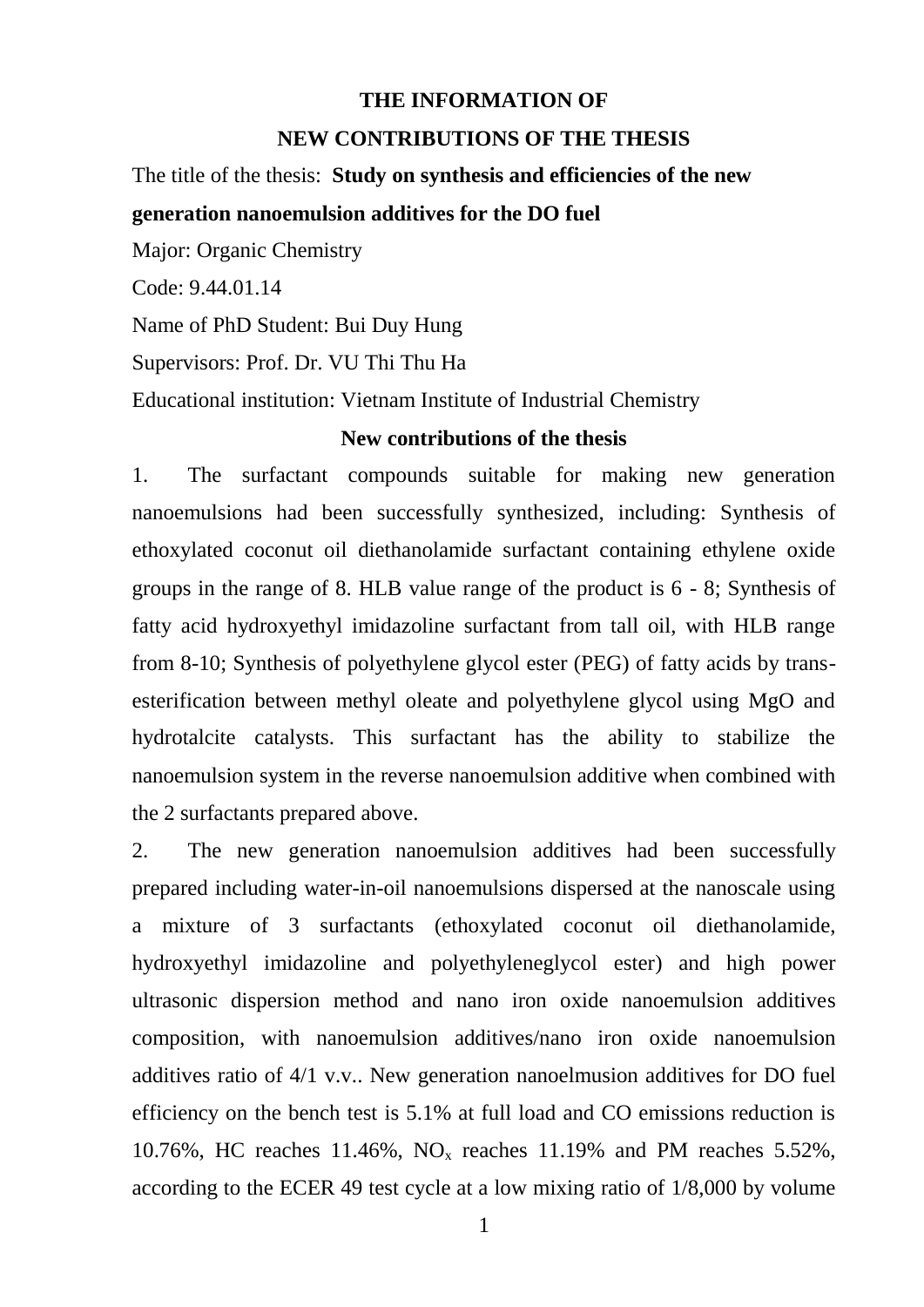## **THE INFORMATION OF**

## **NEW CONTRIBUTIONS OF THE THESIS**

The title of the thesis: **Study on synthesis and efficiencies of the new**

**generation nanoemulsion additives for the DO fuel**

Major: Organic Chemistry Code: 9.44.01.14 Name of PhD Student: Bui Duy Hung Supervisors: Prof. Dr. VU Thi Thu Ha Educational institution: Vietnam Institute of Industrial Chemistry

## **New contributions of the thesis**

1. The surfactant compounds suitable for making new generation nanoemulsions had been successfully synthesized, including: Synthesis of ethoxylated coconut oil diethanolamide surfactant containing ethylene oxide groups in the range of 8. HLB value range of the product is 6 - 8; Synthesis of fatty acid hydroxyethyl imidazoline surfactant from tall oil, with HLB range from 8-10; Synthesis of polyethylene glycol ester (PEG) of fatty acids by transesterification between methyl oleate and polyethylene glycol using MgO and hydrotalcite catalysts. This surfactant has the ability to stabilize the nanoemulsion system in the reverse nanoemulsion additive when combined with the 2 surfactants prepared above.

2. The new generation nanoemulsion additives had been successfully prepared including water-in-oil nanoemulsions dispersed at the nanoscale using a mixture of 3 surfactants (ethoxylated coconut oil diethanolamide, hydroxyethyl imidazoline and polyethyleneglycol ester) and high power ultrasonic dispersion method and nano iron oxide nanoemulsion additives composition, with nanoemulsion additives/nano iron oxide nanoemulsion additives ratio of 4/1 v.v.. New generation nanoelmusion additives for DO fuel efficiency on the bench test is 5.1% at full load and CO emissions reduction is 10.76%, HC reaches 11.46%, NO<sup>x</sup> reaches 11.19% and PM reaches 5.52%, according to the ECER 49 test cycle at a low mixing ratio of 1/8,000 by volume

1